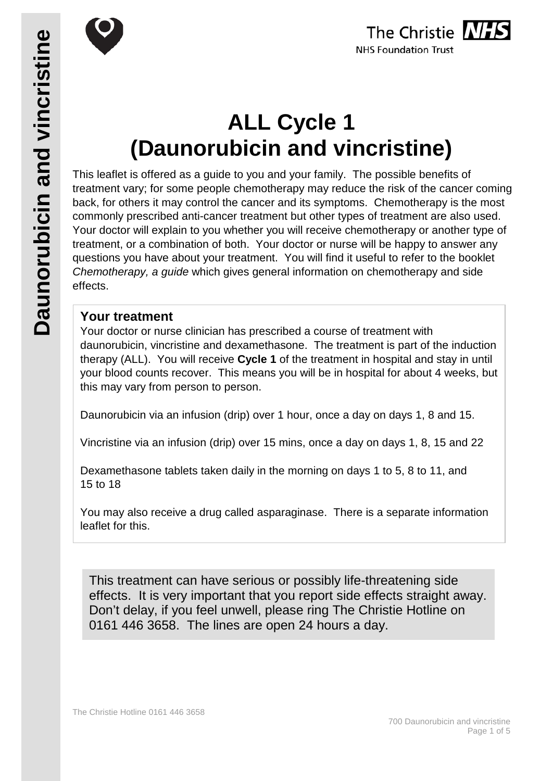

# **ALL Cycle 1 (Daunorubicin and vincristine)**

This leaflet is offered as a guide to you and your family. The possible benefits of treatment vary; for some people chemotherapy may reduce the risk of the cancer coming back, for others it may control the cancer and its symptoms. Chemotherapy is the most commonly prescribed anti-cancer treatment but other types of treatment are also used. Your doctor will explain to you whether you will receive chemotherapy or another type of treatment, or a combination of both. Your doctor or nurse will be happy to answer any questions you have about your treatment. You will find it useful to refer to the booklet *Chemotherapy, a guide* which gives general information on chemotherapy and side effects.

### **Your treatment**

Your doctor or nurse clinician has prescribed a course of treatment with daunorubicin, vincristine and dexamethasone. The treatment is part of the induction therapy (ALL). You will receive **Cycle 1** of the treatment in hospital and stay in until your blood counts recover. This means you will be in hospital for about 4 weeks, but this may vary from person to person.

Daunorubicin via an infusion (drip) over 1 hour, once a day on days 1, 8 and 15.

Vincristine via an infusion (drip) over 15 mins, once a day on days 1, 8, 15 and 22

Dexamethasone tablets taken daily in the morning on days 1 to 5, 8 to 11, and 15 to 18

You may also receive a drug called asparaginase. There is a separate information leaflet for this.

This treatment can have serious or possibly life-threatening side effects. It is very important that you report side effects straight away. Don't delay, if you feel unwell, please ring The Christie Hotline on 0161 446 3658. The lines are open 24 hours a day.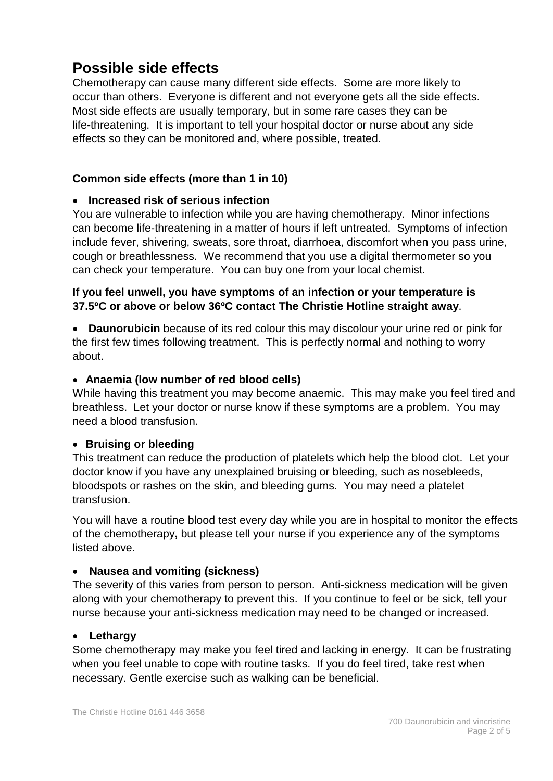# **Possible side effects**

Chemotherapy can cause many different side effects. Some are more likely to occur than others. Everyone is different and not everyone gets all the side effects. Most side effects are usually temporary, but in some rare cases they can be life-threatening. It is important to tell your hospital doctor or nurse about any side effects so they can be monitored and, where possible, treated.

#### **Common side effects (more than 1 in 10)**

#### • **Increased risk of serious infection**

You are vulnerable to infection while you are having chemotherapy. Minor infections can become life-threatening in a matter of hours if left untreated. Symptoms of infection include fever, shivering, sweats, sore throat, diarrhoea, discomfort when you pass urine, cough or breathlessness. We recommend that you use a digital thermometer so you can check your temperature. You can buy one from your local chemist.

#### **If you feel unwell, you have symptoms of an infection or your temperature is 37.5ºC or above or below 36ºC contact The Christie Hotline straight away**.

• **Daunorubicin** because of its red colour this may discolour your urine red or pink for the first few times following treatment. This is perfectly normal and nothing to worry about.

#### • **Anaemia (low number of red blood cells)**

While having this treatment you may become anaemic. This may make you feel tired and breathless. Let your doctor or nurse know if these symptoms are a problem. You may need a blood transfusion.

#### • **Bruising or bleeding**

This treatment can reduce the production of platelets which help the blood clot. Let your doctor know if you have any unexplained bruising or bleeding, such as nosebleeds, bloodspots or rashes on the skin, and bleeding gums. You may need a platelet transfusion.

You will have a routine blood test every day while you are in hospital to monitor the effects of the chemotherapy**,** but please tell your nurse if you experience any of the symptoms listed above.

#### • **Nausea and vomiting (sickness)**

The severity of this varies from person to person. Anti-sickness medication will be given along with your chemotherapy to prevent this. If you continue to feel or be sick, tell your nurse because your anti-sickness medication may need to be changed or increased.

#### • **Lethargy**

Some chemotherapy may make you feel tired and lacking in energy. It can be frustrating when you feel unable to cope with routine tasks. If you do feel tired, take rest when necessary. Gentle exercise such as walking can be beneficial.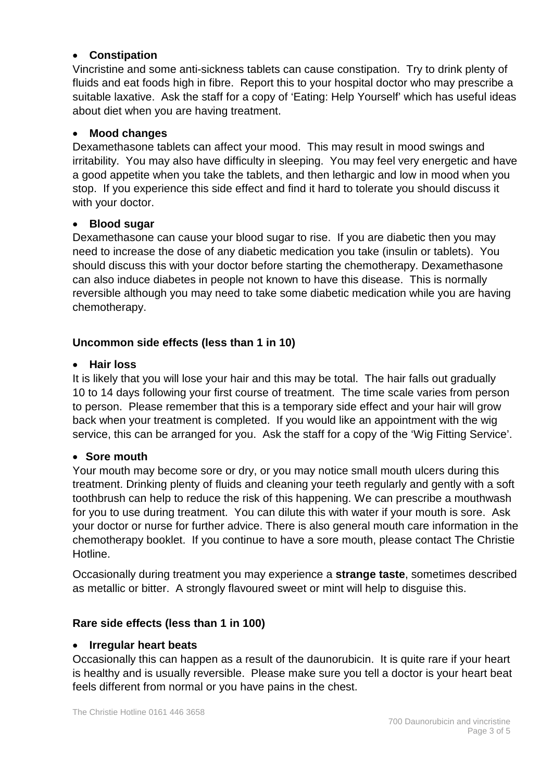#### • **Constipation**

Vincristine and some anti-sickness tablets can cause constipation. Try to drink plenty of fluids and eat foods high in fibre. Report this to your hospital doctor who may prescribe a suitable laxative. Ask the staff for a copy of 'Eating: Help Yourself' which has useful ideas about diet when you are having treatment.

#### • **Mood changes**

Dexamethasone tablets can affect your mood. This may result in mood swings and irritability. You may also have difficulty in sleeping. You may feel very energetic and have a good appetite when you take the tablets, and then lethargic and low in mood when you stop. If you experience this side effect and find it hard to tolerate you should discuss it with your doctor.

#### • **Blood sugar**

Dexamethasone can cause your blood sugar to rise. If you are diabetic then you may need to increase the dose of any diabetic medication you take (insulin or tablets). You should discuss this with your doctor before starting the chemotherapy. Dexamethasone can also induce diabetes in people not known to have this disease. This is normally reversible although you may need to take some diabetic medication while you are having chemotherapy.

#### **Uncommon side effects (less than 1 in 10)**

#### • **Hair loss**

It is likely that you will lose your hair and this may be total. The hair falls out gradually 10 to 14 days following your first course of treatment. The time scale varies from person to person. Please remember that this is a temporary side effect and your hair will grow back when your treatment is completed. If you would like an appointment with the wig service, this can be arranged for you. Ask the staff for a copy of the 'Wig Fitting Service'.

#### • **Sore mouth**

Your mouth may become sore or dry, or you may notice small mouth ulcers during this treatment. Drinking plenty of fluids and cleaning your teeth regularly and gently with a soft toothbrush can help to reduce the risk of this happening. We can prescribe a mouthwash for you to use during treatment. You can dilute this with water if your mouth is sore. Ask your doctor or nurse for further advice. There is also general mouth care information in the chemotherapy booklet. If you continue to have a sore mouth, please contact The Christie Hotline.

Occasionally during treatment you may experience a **strange taste**, sometimes described as metallic or bitter. A strongly flavoured sweet or mint will help to disguise this.

#### **Rare side effects (less than 1 in 100)**

#### • **Irregular heart beats**

Occasionally this can happen as a result of the daunorubicin. It is quite rare if your heart is healthy and is usually reversible. Please make sure you tell a doctor is your heart beat feels different from normal or you have pains in the chest.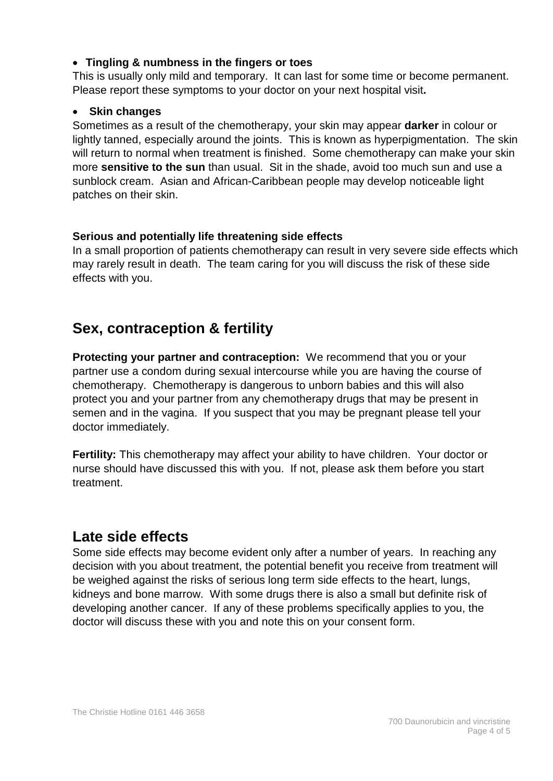#### • **Tingling & numbness in the fingers or toes**

This is usually only mild and temporary. It can last for some time or become permanent. Please report these symptoms to your doctor on your next hospital visit**.**

#### • **Skin changes**

Sometimes as a result of the chemotherapy, your skin may appear **darker** in colour or lightly tanned, especially around the joints. This is known as hyperpigmentation. The skin will return to normal when treatment is finished. Some chemotherapy can make your skin more **sensitive to the sun** than usual. Sit in the shade, avoid too much sun and use a sunblock cream. Asian and African-Caribbean people may develop noticeable light patches on their skin.

#### **Serious and potentially life threatening side effects**

In a small proportion of patients chemotherapy can result in very severe side effects which may rarely result in death. The team caring for you will discuss the risk of these side effects with you.

# **Sex, contraception & fertility**

**Protecting your partner and contraception:** We recommend that you or your partner use a condom during sexual intercourse while you are having the course of chemotherapy. Chemotherapy is dangerous to unborn babies and this will also protect you and your partner from any chemotherapy drugs that may be present in semen and in the vagina. If you suspect that you may be pregnant please tell your doctor immediately.

**Fertility:** This chemotherapy may affect your ability to have children. Your doctor or nurse should have discussed this with you. If not, please ask them before you start treatment.

# **Late side effects**

Some side effects may become evident only after a number of years. In reaching any decision with you about treatment, the potential benefit you receive from treatment will be weighed against the risks of serious long term side effects to the heart, lungs, kidneys and bone marrow. With some drugs there is also a small but definite risk of developing another cancer. If any of these problems specifically applies to you, the doctor will discuss these with you and note this on your consent form.